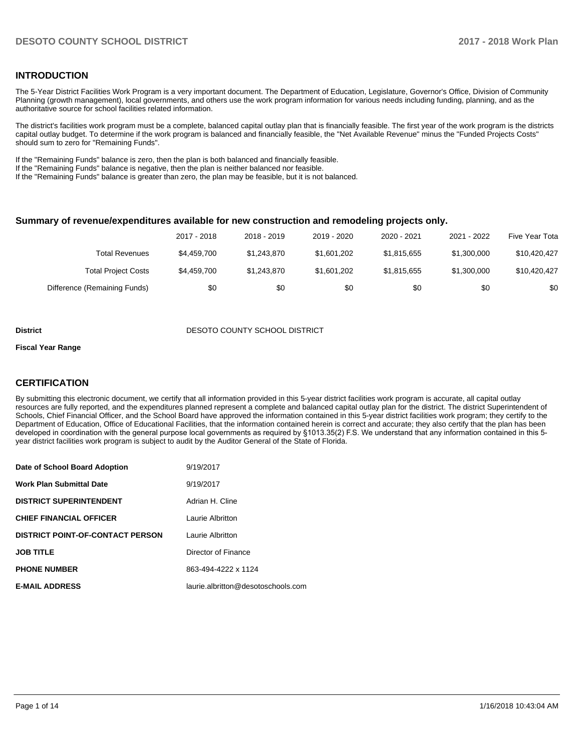### **INTRODUCTION**

The 5-Year District Facilities Work Program is a very important document. The Department of Education, Legislature, Governor's Office, Division of Community Planning (growth management), local governments, and others use the work program information for various needs including funding, planning, and as the authoritative source for school facilities related information.

The district's facilities work program must be a complete, balanced capital outlay plan that is financially feasible. The first year of the work program is the districts capital outlay budget. To determine if the work program is balanced and financially feasible, the "Net Available Revenue" minus the "Funded Projects Costs" should sum to zero for "Remaining Funds".

If the "Remaining Funds" balance is zero, then the plan is both balanced and financially feasible.

If the "Remaining Funds" balance is negative, then the plan is neither balanced nor feasible.

If the "Remaining Funds" balance is greater than zero, the plan may be feasible, but it is not balanced.

#### **Summary of revenue/expenditures available for new construction and remodeling projects only.**

|                              | 2017 - 2018 | 2018 - 2019 | 2019 - 2020 | 2020 - 2021 | 2021 - 2022 | Five Year Tota |
|------------------------------|-------------|-------------|-------------|-------------|-------------|----------------|
| Total Revenues               | \$4,459,700 | \$1.243.870 | \$1,601,202 | \$1,815,655 | \$1,300,000 | \$10,420,427   |
| <b>Total Project Costs</b>   | \$4,459,700 | \$1.243.870 | \$1,601,202 | \$1,815,655 | \$1,300,000 | \$10,420,427   |
| Difference (Remaining Funds) | \$0         | \$0         | \$0         | \$0         | \$0         | \$0            |

#### **District DESOTO COUNTY SCHOOL DISTRICT**

#### **Fiscal Year Range**

## **CERTIFICATION**

By submitting this electronic document, we certify that all information provided in this 5-year district facilities work program is accurate, all capital outlay resources are fully reported, and the expenditures planned represent a complete and balanced capital outlay plan for the district. The district Superintendent of Schools, Chief Financial Officer, and the School Board have approved the information contained in this 5-year district facilities work program; they certify to the Department of Education, Office of Educational Facilities, that the information contained herein is correct and accurate; they also certify that the plan has been developed in coordination with the general purpose local governments as required by §1013.35(2) F.S. We understand that any information contained in this 5year district facilities work program is subject to audit by the Auditor General of the State of Florida.

| Date of School Board Adoption           | 9/19/2017                          |
|-----------------------------------------|------------------------------------|
| <b>Work Plan Submittal Date</b>         | 9/19/2017                          |
| <b>DISTRICT SUPERINTENDENT</b>          | Adrian H. Cline                    |
| <b>CHIEF FINANCIAL OFFICER</b>          | Laurie Albritton                   |
| <b>DISTRICT POINT-OF-CONTACT PERSON</b> | Laurie Albritton                   |
| <b>JOB TITLE</b>                        | Director of Finance                |
| <b>PHONE NUMBER</b>                     | 863-494-4222 x 1124                |
| <b>E-MAIL ADDRESS</b>                   | laurie.albritton@desotoschools.com |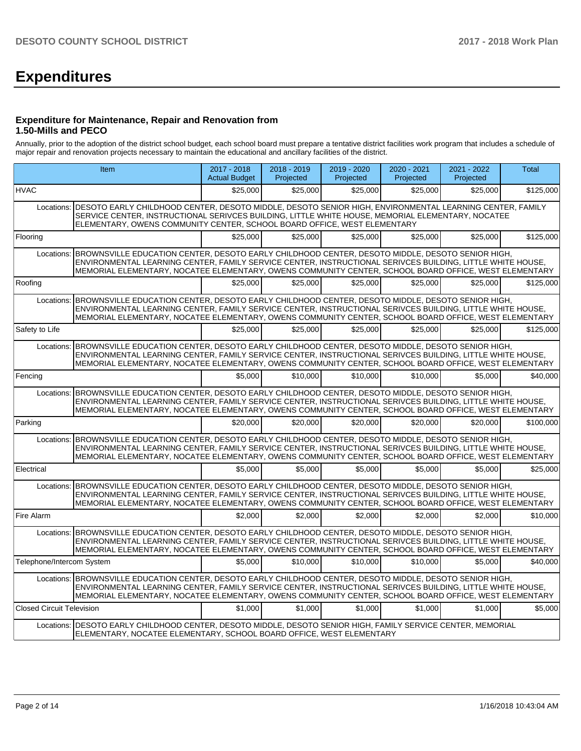# **Expenditures**

### **Expenditure for Maintenance, Repair and Renovation from 1.50-Mills and PECO**

Annually, prior to the adoption of the district school budget, each school board must prepare a tentative district facilities work program that includes a schedule of major repair and renovation projects necessary to maintain the educational and ancillary facilities of the district.

|                                  | Item                                                                                                                                                                                                                                                                                                                              | 2017 - 2018<br><b>Actual Budget</b> | $2018 - 2019$<br>Projected | 2019 - 2020<br>Projected | $2020 - 2021$<br>Projected | 2021 - 2022<br>Projected | <b>Total</b> |
|----------------------------------|-----------------------------------------------------------------------------------------------------------------------------------------------------------------------------------------------------------------------------------------------------------------------------------------------------------------------------------|-------------------------------------|----------------------------|--------------------------|----------------------------|--------------------------|--------------|
| <b>HVAC</b>                      |                                                                                                                                                                                                                                                                                                                                   | \$25,000                            | \$25,000                   | \$25,000                 | \$25,000                   | \$25,000                 | \$125,000    |
| Locations:                       | DESOTO EARLY CHILDHOOD CENTER, DESOTO MIDDLE, DESOTO SENIOR HIGH, ENVIRONMENTAL LEARNING CENTER, FAMILY<br>SERVICE CENTER, INSTRUCTIONAL SERIVCES BUILDING, LITTLE WHITE HOUSE, MEMORIAL ELEMENTARY, NOCATEE<br>ELEMENTARY, OWENS COMMUNITY CENTER, SCHOOL BOARD OFFICE, WEST ELEMENTARY                                          |                                     |                            |                          |                            |                          |              |
| Flooring                         |                                                                                                                                                                                                                                                                                                                                   | \$25,000                            | \$25,000                   | \$25,000                 | \$25.000                   | \$25,000                 | \$125,000    |
|                                  | Locations: BROWNSVILLE EDUCATION CENTER, DESOTO EARLY CHILDHOOD CENTER, DESOTO MIDDLE, DESOTO SENIOR HIGH,<br>ENVIRONMENTAL LEARNING CENTER, FAMILY SERVICE CENTER, INSTRUCTIONAL SERIVCES BUILDING, LITTLE WHITE HOUSE.<br>MEMORIAL ELEMENTARY, NOCATEE ELEMENTARY, OWENS COMMUNITY CENTER, SCHOOL BOARD OFFICE, WEST ELEMENTARY |                                     |                            |                          |                            |                          |              |
| Roofing                          |                                                                                                                                                                                                                                                                                                                                   | \$25,000                            | \$25.000                   | \$25.000                 | \$25,000                   | \$25,000                 | \$125,000    |
| Locations:                       | BROWNSVILLE EDUCATION CENTER, DESOTO EARLY CHILDHOOD CENTER, DESOTO MIDDLE, DESOTO SENIOR HIGH,<br>ENVIRONMENTAL LEARNING CENTER, FAMILY SERVICE CENTER, INSTRUCTIONAL SERIVCES BUILDING, LITTLE WHITE HOUSE,<br>MEMORIAL ELEMENTARY, NOCATEE ELEMENTARY, OWENS COMMUNITY CENTER, SCHOOL BOARD OFFICE, WEST ELEMENTARY            |                                     |                            |                          |                            |                          |              |
| Safety to Life                   |                                                                                                                                                                                                                                                                                                                                   | \$25,000                            | \$25,000                   | \$25,000                 | \$25,000                   | \$25,000                 | \$125,000    |
| Locations:                       | BROWNSVILLE EDUCATION CENTER, DESOTO EARLY CHILDHOOD CENTER, DESOTO MIDDLE, DESOTO SENIOR HIGH,<br>ENVIRONMENTAL LEARNING CENTER, FAMILY SERVICE CENTER, INSTRUCTIONAL SERIVCES BUILDING, LITTLE WHITE HOUSE,<br>MEMORIAL ELEMENTARY, NOCATEE ELEMENTARY, OWENS COMMUNITY CENTER, SCHOOL BOARD OFFICE, WEST ELEMENTARY            |                                     |                            |                          |                            |                          |              |
| Fencing                          |                                                                                                                                                                                                                                                                                                                                   | \$5,000                             | \$10,000                   | \$10,000                 | \$10,000                   | \$5,000                  | \$40,000     |
|                                  | Locations: BROWNSVILLE EDUCATION CENTER, DESOTO EARLY CHILDHOOD CENTER, DESOTO MIDDLE, DESOTO SENIOR HIGH,<br>ENVIRONMENTAL LEARNING CENTER, FAMILY SERVICE CENTER, INSTRUCTIONAL SERIVCES BUILDING, LITTLE WHITE HOUSE,<br>MEMORIAL ELEMENTARY, NOCATEE ELEMENTARY, OWENS COMMUNITY CENTER, SCHOOL BOARD OFFICE, WEST ELEMENTARY |                                     |                            |                          |                            |                          |              |
| Parking                          |                                                                                                                                                                                                                                                                                                                                   | \$20,000                            | \$20.000                   | \$20,000                 | \$20,000                   | \$20,000                 | \$100.000    |
|                                  | Locations: BROWNSVILLE EDUCATION CENTER, DESOTO EARLY CHILDHOOD CENTER, DESOTO MIDDLE, DESOTO SENIOR HIGH,<br>ENVIRONMENTAL LEARNING CENTER, FAMILY SERVICE CENTER, INSTRUCTIONAL SERIVCES BUILDING, LITTLE WHITE HOUSE,<br>MEMORIAL ELEMENTARY, NOCATEE ELEMENTARY, OWENS COMMUNITY CENTER, SCHOOL BOARD OFFICE, WEST ELEMENTARY |                                     |                            |                          |                            |                          |              |
| Electrical                       |                                                                                                                                                                                                                                                                                                                                   | \$5.000                             | \$5,000                    | \$5.000                  | \$5.000                    | \$5.000                  | \$25,000     |
|                                  | Locations: BROWNSVILLE EDUCATION CENTER, DESOTO EARLY CHILDHOOD CENTER, DESOTO MIDDLE, DESOTO SENIOR HIGH,<br>ENVIRONMENTAL LEARNING CENTER, FAMILY SERVICE CENTER, INSTRUCTIONAL SERIVCES BUILDING, LITTLE WHITE HOUSE.<br>MEMORIAL ELEMENTARY, NOCATEE ELEMENTARY, OWENS COMMUNITY CENTER, SCHOOL BOARD OFFICE, WEST ELEMENTARY |                                     |                            |                          |                            |                          |              |
| Fire Alarm                       |                                                                                                                                                                                                                                                                                                                                   | \$2,000                             | \$2,000                    | \$2,000                  | \$2,000                    | \$2,000                  | \$10,000     |
|                                  | Locations: BROWNSVILLE EDUCATION CENTER, DESOTO EARLY CHILDHOOD CENTER, DESOTO MIDDLE, DESOTO SENIOR HIGH,<br>ENVIRONMENTAL LEARNING CENTER, FAMILY SERVICE CENTER, INSTRUCTIONAL SERIVCES BUILDING, LITTLE WHITE HOUSE,<br>MEMORIAL ELEMENTARY, NOCATEE ELEMENTARY, OWENS COMMUNITY CENTER, SCHOOL BOARD OFFICE, WEST ELEMENTARY |                                     |                            |                          |                            |                          |              |
| Telephone/Intercom System        |                                                                                                                                                                                                                                                                                                                                   | \$5,000                             | \$10,000                   | \$10,000                 | \$10,000                   | \$5,000                  | \$40,000     |
|                                  | Locations: BROWNSVILLE EDUCATION CENTER, DESOTO EARLY CHILDHOOD CENTER, DESOTO MIDDLE, DESOTO SENIOR HIGH,<br>ENVIRONMENTAL LEARNING CENTER, FAMILY SERVICE CENTER, INSTRUCTIONAL SERIVCES BUILDING, LITTLE WHITE HOUSE,<br>MEMORIAL ELEMENTARY, NOCATEE ELEMENTARY, OWENS COMMUNITY CENTER, SCHOOL BOARD OFFICE, WEST ELEMENTARY |                                     |                            |                          |                            |                          |              |
| <b>Closed Circuit Television</b> |                                                                                                                                                                                                                                                                                                                                   | \$1,000                             | \$1,000                    | \$1,000                  | \$1,000                    | \$1,000                  | \$5,000      |
|                                  | Locations:   DESOTO EARLY CHILDHOOD CENTER, DESOTO MIDDLE, DESOTO SENIOR HIGH, FAMILY SERVICE CENTER, MEMORIAL<br>ELEMENTARY, NOCATEE ELEMENTARY, SCHOOL BOARD OFFICE, WEST ELEMENTARY                                                                                                                                            |                                     |                            |                          |                            |                          |              |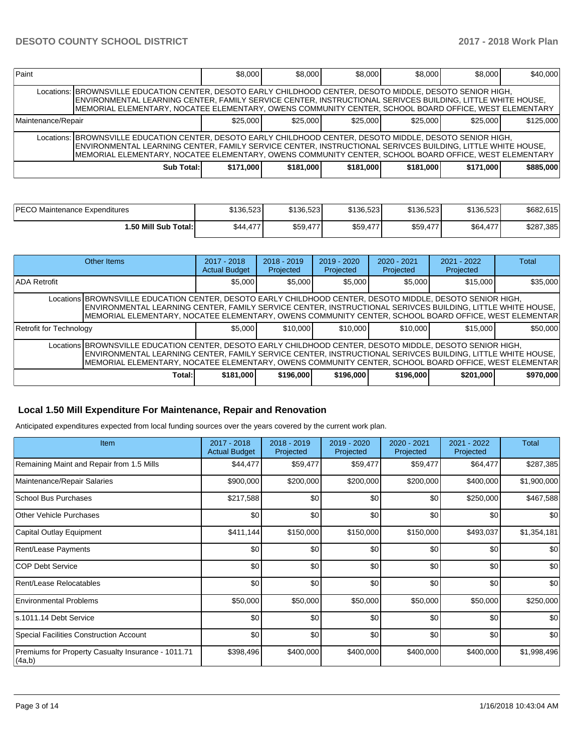## **DESOTO COUNTY SCHOOL DISTRICT 2017 - 2018 Work Plan**

| Paint              |                                                                                                                                                                                                                                                                                                                                   | \$8,000   | \$8,000   | \$8,000   | \$8,000   | \$8,000   | \$40,000  |
|--------------------|-----------------------------------------------------------------------------------------------------------------------------------------------------------------------------------------------------------------------------------------------------------------------------------------------------------------------------------|-----------|-----------|-----------|-----------|-----------|-----------|
|                    | Locations: BROWNSVILLE EDUCATION CENTER, DESOTO EARLY CHILDHOOD CENTER, DESOTO MIDDLE, DESOTO SENIOR HIGH,<br>ENVIRONMENTAL LEARNING CENTER, FAMILY SERVICE CENTER, INSTRUCTIONAL SERIVCES BUILDING, LITTLE WHITE HOUSE,<br>MEMORIAL ELEMENTARY, NOCATEE ELEMENTARY, OWENS COMMUNITY CENTER, SCHOOL BOARD OFFICE, WEST ELEMENTARY |           |           |           |           |           |           |
| Maintenance/Repair |                                                                                                                                                                                                                                                                                                                                   | \$25.000  | \$25,000  | \$25,000  | \$25,000  | \$25.000  | \$125,000 |
|                    | Locations: BROWNSVILLE EDUCATION CENTER, DESOTO EARLY CHILDHOOD CENTER, DESOTO MIDDLE, DESOTO SENIOR HIGH,<br>ENVIRONMENTAL LEARNING CENTER, FAMILY SERVICE CENTER, INSTRUCTIONAL SERIVCES BUILDING, LITTLE WHITE HOUSE,<br>MEMORIAL ELEMENTARY, NOCATEE ELEMENTARY, OWENS COMMUNITY CENTER, SCHOOL BOARD OFFICE, WEST ELEMENTARY |           |           |           |           |           |           |
|                    | Sub Total:                                                                                                                                                                                                                                                                                                                        | \$171,000 | \$181,000 | \$181,000 | \$181,000 | \$171,000 | \$885,000 |

| <b>PECO Maintenance Expenditures</b> | \$136.523 | \$136.523 | \$136,523                     | \$136.523 | \$136.523 | \$682,615 |
|--------------------------------------|-----------|-----------|-------------------------------|-----------|-----------|-----------|
| 1.50 Mill Sub Total:İ                | \$44.477  | \$59,477  | $A \rightarrow A$<br>\$59,477 | \$59,477  | \$64,477  | \$287,385 |

|                                                                                                                                                                                                                                                                                                                                 | <b>Other Items</b>                                                                                                                                                                                                                                                                                                              | $2017 - 2018$<br><b>Actual Budget</b> | $2018 - 2019$<br>Projected | $2019 - 2020$<br>Projected | $2020 - 2021$<br>Projected | $2021 - 2022$<br>Projected | Total     |  |  |
|---------------------------------------------------------------------------------------------------------------------------------------------------------------------------------------------------------------------------------------------------------------------------------------------------------------------------------|---------------------------------------------------------------------------------------------------------------------------------------------------------------------------------------------------------------------------------------------------------------------------------------------------------------------------------|---------------------------------------|----------------------------|----------------------------|----------------------------|----------------------------|-----------|--|--|
| <b>ADA Retrofit</b>                                                                                                                                                                                                                                                                                                             |                                                                                                                                                                                                                                                                                                                                 | \$5,000                               | \$5,000                    | \$5,000                    | \$5,000                    | \$15,000                   | \$35,000  |  |  |
| Locations BROWNSVILLE EDUCATION CENTER, DESOTO EARLY CHILDHOOD CENTER, DESOTO MIDDLE, DESOTO SENIOR HIGH,<br>ENVIRONMENTAL LEARNING CENTER, FAMILY SERVICE CENTER, INSTRUCTIONAL SERIVCES BUILDING, LITTLE WHITE HOUSE,<br>MEMORIAL ELEMENTARY, NOCATEE ELEMENTARY, OWENS COMMUNITY CENTER, SCHOOL BOARD OFFICE, WEST ELEMENTAR |                                                                                                                                                                                                                                                                                                                                 |                                       |                            |                            |                            |                            |           |  |  |
| Retrofit for Technology                                                                                                                                                                                                                                                                                                         |                                                                                                                                                                                                                                                                                                                                 | \$5,000                               | \$10,000                   | \$10,000                   | \$10,000                   | \$15,000                   | \$50,000  |  |  |
|                                                                                                                                                                                                                                                                                                                                 | Locations BROWNSVILLE EDUCATION CENTER, DESOTO EARLY CHILDHOOD CENTER, DESOTO MIDDLE, DESOTO SENIOR HIGH,<br>ENVIRONMENTAL LEARNING CENTER, FAMILY SERVICE CENTER, INSTRUCTIONAL SERIVCES BUILDING, LITTLE WHITE HOUSE,<br>MEMORIAL ELEMENTARY, NOCATEE ELEMENTARY, OWENS COMMUNITY CENTER, SCHOOL BOARD OFFICE, WEST ELEMENTAR |                                       |                            |                            |                            |                            |           |  |  |
|                                                                                                                                                                                                                                                                                                                                 | Total:I                                                                                                                                                                                                                                                                                                                         | \$181,000                             | \$196,000                  | \$196,000                  | \$196,000                  | \$201,000                  | \$970,000 |  |  |

## **Local 1.50 Mill Expenditure For Maintenance, Repair and Renovation**

Anticipated expenditures expected from local funding sources over the years covered by the current work plan.

| Item                                                          | 2017 - 2018<br><b>Actual Budget</b> | $2018 - 2019$<br>Projected | 2019 - 2020<br>Projected | 2020 - 2021<br>Projected | 2021 - 2022<br>Projected | <b>Total</b> |
|---------------------------------------------------------------|-------------------------------------|----------------------------|--------------------------|--------------------------|--------------------------|--------------|
| Remaining Maint and Repair from 1.5 Mills                     | \$44,477                            | \$59,477                   | \$59,477                 | \$59,477                 | \$64,477                 | \$287,385    |
| Maintenance/Repair Salaries                                   | \$900,000                           | \$200,000                  | \$200,000                | \$200,000                | \$400,000                | \$1,900,000  |
| School Bus Purchases                                          | \$217,588                           | \$0                        | \$0                      | \$0                      | \$250,000                | \$467,588    |
| Other Vehicle Purchases                                       | \$0                                 | \$0                        | \$0                      | \$0                      | \$0                      | \$0          |
| Capital Outlay Equipment                                      | \$411,144                           | \$150,000                  | \$150,000                | \$150,000                | \$493,037                | \$1,354,181  |
| Rent/Lease Payments                                           | \$0                                 | \$0                        | \$0                      | \$0                      | \$0                      | \$0          |
| ICOP Debt Service                                             | \$0                                 | \$0                        | \$0                      | \$0                      | \$0                      | \$0          |
| Rent/Lease Relocatables                                       | \$0                                 | \$0                        | \$0                      | \$0                      | \$0                      | \$0          |
| <b>Environmental Problems</b>                                 | \$50,000                            | \$50,000                   | \$50,000                 | \$50,000                 | \$50,000                 | \$250,000    |
| ls.1011.14 Debt Service                                       | \$0                                 | \$0                        | \$0                      | \$0                      | \$0                      | \$0          |
| Special Facilities Construction Account                       | \$0                                 | \$0                        | \$0                      | \$0                      | \$0                      | \$0          |
| Premiums for Property Casualty Insurance - 1011.71<br> (4a,b) | \$398,496                           | \$400,000                  | \$400,000                | \$400,000                | \$400,000                | \$1,998,496  |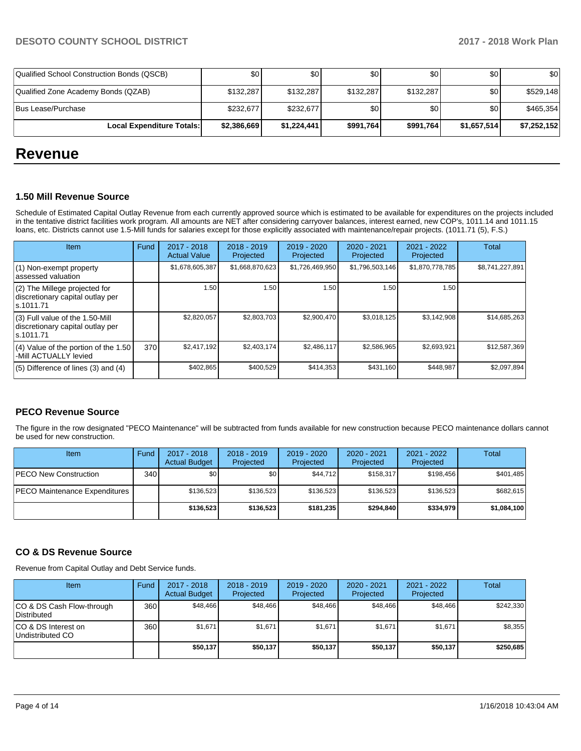| Local Expenditure Totals:                  | \$2,386,669 | \$1,224,441 | \$991,764 | \$991,764        | \$1,657,514 | \$7,252,152 |
|--------------------------------------------|-------------|-------------|-----------|------------------|-------------|-------------|
| lBus Lease/Purchase                        | \$232,677   | \$232.677   | \$0       | <b>\$01</b>      | \$٥١        | \$465.354   |
| Qualified Zone Academy Bonds (QZAB)        | \$132,287   | \$132.287   | \$132.287 | \$132.287        | \$٥١        | \$529,148   |
| Qualified School Construction Bonds (QSCB) | \$0         | \$0         | \$0       | \$0 <sub>1</sub> | \$٥١        | \$0         |

# **Revenue**

### **1.50 Mill Revenue Source**

Schedule of Estimated Capital Outlay Revenue from each currently approved source which is estimated to be available for expenditures on the projects included in the tentative district facilities work program. All amounts are NET after considering carryover balances, interest earned, new COP's, 1011.14 and 1011.15 loans, etc. Districts cannot use 1.5-Mill funds for salaries except for those explicitly associated with maintenance/repair projects. (1011.71 (5), F.S.)

| Item                                                                                | <b>Fund</b> | $2017 - 2018$<br><b>Actual Value</b> | $2018 - 2019$<br>Projected | $2019 - 2020$<br>Projected | $2020 - 2021$<br>Projected | $2021 - 2022$<br>Projected | <b>Total</b>    |
|-------------------------------------------------------------------------------------|-------------|--------------------------------------|----------------------------|----------------------------|----------------------------|----------------------------|-----------------|
| (1) Non-exempt property<br>lassessed valuation                                      |             | \$1,678,605,387                      | \$1,668,870,623            | \$1,726,469,950            | \$1,796,503,146            | \$1,870,778,785            | \$8,741,227,891 |
| $(2)$ The Millege projected for<br>discretionary capital outlay per<br>ls.1011.71   |             | 1.50                                 | 1.50                       | 1.50                       | 1.50                       | 1.50                       |                 |
| $(3)$ Full value of the 1.50-Mill<br>discretionary capital outlay per<br>ls.1011.71 |             | \$2,820,057                          | \$2,803,703                | \$2,900,470                | \$3,018,125                | \$3,142,908                | \$14,685,263    |
| $(4)$ Value of the portion of the 1.50<br>-Mill ACTUALLY levied                     | 370         | \$2,417,192                          | \$2,403,174                | \$2,486,117                | \$2,586,965                | \$2,693,921                | \$12,587,369    |
| $(5)$ Difference of lines $(3)$ and $(4)$                                           |             | \$402,865                            | \$400,529                  | \$414,353                  | \$431,160                  | \$448,987                  | \$2,097,894     |

## **PECO Revenue Source**

The figure in the row designated "PECO Maintenance" will be subtracted from funds available for new construction because PECO maintenance dollars cannot be used for new construction.

| <b>Item</b>                   | Fund  | $2017 - 2018$<br><b>Actual Budget</b> | $2018 - 2019$<br>Projected | 2019 - 2020<br>Projected | $2020 - 2021$<br>Projected | $2021 - 2022$<br>Projected | <b>Total</b> |
|-------------------------------|-------|---------------------------------------|----------------------------|--------------------------|----------------------------|----------------------------|--------------|
| PECO New Construction         | 340 I | <b>\$0</b>                            | \$0 <sub>1</sub>           | \$44.712                 | \$158.317                  | \$198.456                  | \$401,485    |
| PECO Maintenance Expenditures |       | \$136,523                             | \$136,523                  | \$136.523                | \$136.523                  | \$136.523                  | \$682,615    |
|                               |       | \$136,523                             | \$136,523                  | \$181.235                | \$294.840                  | \$334.979                  | \$1,084,100  |

## **CO & DS Revenue Source**

Revenue from Capital Outlay and Debt Service funds.

| Item                                      | Fund | $2017 - 2018$<br><b>Actual Budget</b> | $2018 - 2019$<br>Projected | $2019 - 2020$<br>Projected | $2020 - 2021$<br>Projected | 2021 - 2022<br>Projected | Total     |
|-------------------------------------------|------|---------------------------------------|----------------------------|----------------------------|----------------------------|--------------------------|-----------|
| ICO & DS Cash Flow-through<br>Distributed | 360  | \$48.466                              | \$48,466                   | \$48.466                   | \$48.466                   | \$48,466                 | \$242,330 |
| ICO & DS Interest on<br>Undistributed CO  | 360  | \$1,671                               | \$1,671                    | \$1,671                    | \$1,671                    | \$1,671                  | \$8,355   |
|                                           |      | \$50,137                              | \$50,137                   | \$50,137                   | \$50,137                   | \$50,137                 | \$250,685 |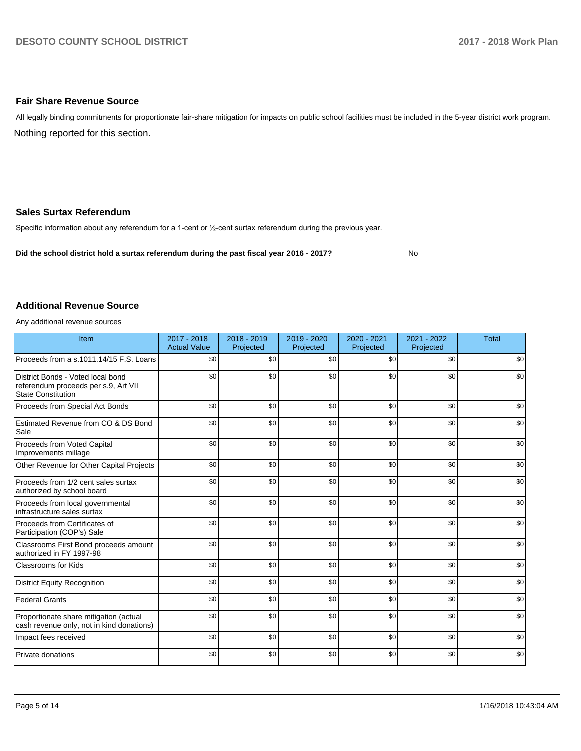### **Fair Share Revenue Source**

Nothing reported for this section. All legally binding commitments for proportionate fair-share mitigation for impacts on public school facilities must be included in the 5-year district work program.

### **Sales Surtax Referendum**

Specific information about any referendum for a 1-cent or 1/2-cent surtax referendum during the previous year.

**Did the school district hold a surtax referendum during the past fiscal year 2016 - 2017?**

No

#### **Additional Revenue Source**

Any additional revenue sources

| Item                                                                                                   | $2017 - 2018$<br><b>Actual Value</b> | $2018 - 2019$<br>Projected | 2019 - 2020<br>Projected | 2020 - 2021<br>Projected | 2021 - 2022<br>Projected | <b>Total</b> |
|--------------------------------------------------------------------------------------------------------|--------------------------------------|----------------------------|--------------------------|--------------------------|--------------------------|--------------|
| Proceeds from a s.1011.14/15 F.S. Loans                                                                | \$0                                  | \$0                        | \$0                      | \$0                      | \$0                      | \$0          |
| District Bonds - Voted local bond<br>referendum proceeds per s.9, Art VII<br><b>State Constitution</b> | \$0                                  | \$0                        | \$0                      | \$0                      | \$0                      | \$0          |
| Proceeds from Special Act Bonds                                                                        | \$0                                  | \$0                        | \$0                      | \$0                      | \$0                      | \$0          |
| Estimated Revenue from CO & DS Bond<br>Sale                                                            | \$0                                  | \$0                        | \$0                      | \$0                      | \$0                      | \$0          |
| Proceeds from Voted Capital<br>Improvements millage                                                    | \$0                                  | \$0                        | \$0                      | \$0                      | \$0                      | \$0          |
| Other Revenue for Other Capital Projects                                                               | \$0                                  | \$0                        | \$0                      | \$0                      | \$0                      | \$0          |
| Proceeds from 1/2 cent sales surtax<br>authorized by school board                                      | \$0                                  | \$0                        | \$0                      | \$0                      | \$0                      | \$0          |
| Proceeds from local governmental<br>infrastructure sales surtax                                        | \$0                                  | \$0                        | \$0                      | \$0                      | \$0                      | \$0          |
| Proceeds from Certificates of<br>Participation (COP's) Sale                                            | \$0                                  | \$0                        | \$0                      | \$0                      | \$0                      | \$0          |
| Classrooms First Bond proceeds amount<br>authorized in FY 1997-98                                      | \$0                                  | \$0                        | \$0                      | \$0                      | \$0                      | \$0          |
| <b>Classrooms for Kids</b>                                                                             | \$0                                  | \$0                        | \$0                      | \$0                      | \$0                      | \$0          |
| <b>District Equity Recognition</b>                                                                     | \$0                                  | \$0                        | \$0                      | \$0                      | \$0                      | \$0          |
| <b>Federal Grants</b>                                                                                  | \$0                                  | \$0                        | \$0                      | \$0                      | \$0                      | \$0          |
| Proportionate share mitigation (actual<br>cash revenue only, not in kind donations)                    | \$0                                  | \$0                        | \$0                      | \$0                      | \$0                      | \$0          |
| Impact fees received                                                                                   | \$0                                  | \$0                        | \$0                      | \$0                      | \$0                      | \$0          |
| Private donations                                                                                      | \$0                                  | \$0                        | \$0                      | \$0                      | \$0                      | \$0          |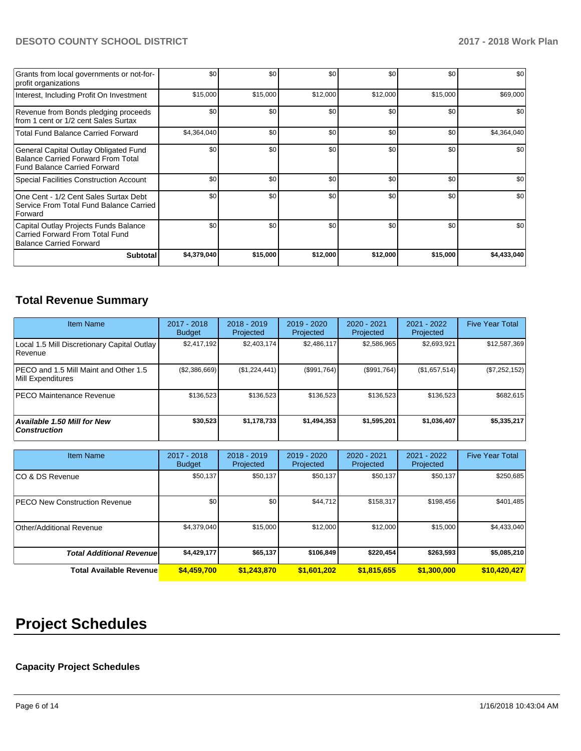## **DESOTO COUNTY SCHOOL DISTRICT 2017 - 2018 Work Plan**

| Grants from local governments or not-for-<br>profit organizations                                                         | \$0         | \$0      | \$0      | \$0      | \$0      | \$0         |
|---------------------------------------------------------------------------------------------------------------------------|-------------|----------|----------|----------|----------|-------------|
| Interest, Including Profit On Investment                                                                                  | \$15,000    | \$15,000 | \$12,000 | \$12,000 | \$15,000 | \$69,000    |
| Revenue from Bonds pledging proceeds<br>from 1 cent or 1/2 cent Sales Surtax                                              | \$0         | \$0      | \$0      | \$0      | \$0      | \$0         |
| <b>Total Fund Balance Carried Forward</b>                                                                                 | \$4,364,040 | \$0      | \$0      | \$0      | \$0      | \$4,364,040 |
| General Capital Outlay Obligated Fund<br><b>Balance Carried Forward From Total</b><br><b>Fund Balance Carried Forward</b> | \$0         | \$0      | \$0      | \$0      | \$0      | \$0         |
| <b>Special Facilities Construction Account</b>                                                                            | \$0         | \$0      | \$0      | \$0      | \$0      | \$0         |
| One Cent - 1/2 Cent Sales Surtax Debt<br>Service From Total Fund Balance Carried<br>Forward                               | \$0         | \$0      | \$0      | \$0      | \$0      | \$0         |
| Capital Outlay Projects Funds Balance<br>Carried Forward From Total Fund<br><b>Balance Carried Forward</b>                | \$0         | \$0      | \$0      | \$0      | \$0      | \$0         |
| <b>Subtotal</b>                                                                                                           | \$4,379,040 | \$15,000 | \$12,000 | \$12,000 | \$15,000 | \$4,433,040 |

# **Total Revenue Summary**

| <b>Item Name</b>                                           | $2017 - 2018$<br><b>Budget</b> | $2018 - 2019$<br>Projected | $2019 - 2020$<br>Projected | $2020 - 2021$<br>Projected | 2021 - 2022<br>Projected | <b>Five Year Total</b> |
|------------------------------------------------------------|--------------------------------|----------------------------|----------------------------|----------------------------|--------------------------|------------------------|
| Local 1.5 Mill Discretionary Capital Outlay<br>Revenue     | \$2,417,192                    | \$2,403,174                | \$2,486,117                | \$2,586,965                | \$2,693,921              | \$12,587,369           |
| PECO and 1.5 Mill Maint and Other 1.5<br>Mill Expenditures | (\$2,386,669)                  | (\$1,224,441)              | (\$991,764)                | (\$991,764)                | (\$1,657,514)            | (\$7,252,152)          |
| <b>PECO Maintenance Revenue</b>                            | \$136.523                      | \$136,523                  | \$136.523                  | \$136,523                  | \$136,523                | \$682,615              |
| <b>Available 1.50 Mill for New</b><br><b>Construction</b>  | \$30,523                       | \$1,178,733                | \$1,494,353                | \$1,595,201                | \$1,036,407              | \$5,335,217            |

| <b>Item Name</b>                      | 2017 - 2018<br><b>Budget</b> | $2018 - 2019$<br>Projected | 2019 - 2020<br>Projected | 2020 - 2021<br>Projected | 2021 - 2022<br>Projected | <b>Five Year Total</b> |
|---------------------------------------|------------------------------|----------------------------|--------------------------|--------------------------|--------------------------|------------------------|
| ICO & DS Revenue                      | \$50,137                     | \$50,137                   | \$50,137                 | \$50,137                 | \$50,137                 | \$250,685              |
| <b>IPECO New Construction Revenue</b> | \$0                          | \$0                        | \$44,712                 | \$158,317                | \$198,456                | \$401,485              |
| Other/Additional Revenue              | \$4,379,040                  | \$15,000                   | \$12,000                 | \$12,000                 | \$15,000                 | \$4,433,040            |
| <b>Total Additional Revenuel</b>      | \$4,429,177                  | \$65,137                   | \$106,849                | \$220,454                | \$263,593                | \$5,085,210            |
| <b>Total Available Revenue</b>        | \$4,459,700                  | \$1,243,870                | \$1,601,202              | \$1,815,655              | \$1,300,000              | \$10,420,427           |

# **Project Schedules**

## **Capacity Project Schedules**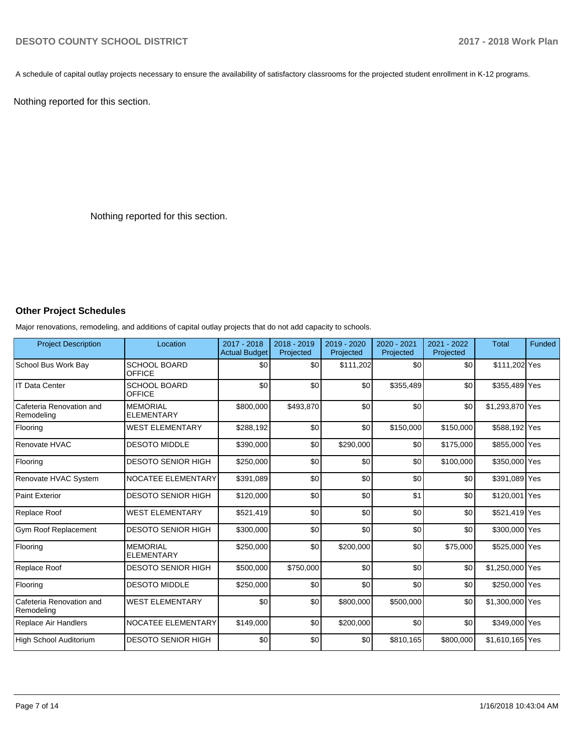A schedule of capital outlay projects necessary to ensure the availability of satisfactory classrooms for the projected student enrollment in K-12 programs.

Nothing reported for this section.

Nothing reported for this section.

## **Other Project Schedules**

Major renovations, remodeling, and additions of capital outlay projects that do not add capacity to schools.

| <b>Project Description</b>             | Location                             | 2017 - 2018<br><b>Actual Budget</b> | 2018 - 2019<br>Projected | 2019 - 2020<br>Projected | 2020 - 2021<br>Projected | 2021 - 2022<br>Projected | <b>Total</b>    | Funded |
|----------------------------------------|--------------------------------------|-------------------------------------|--------------------------|--------------------------|--------------------------|--------------------------|-----------------|--------|
| School Bus Work Bay                    | <b>SCHOOL BOARD</b><br><b>OFFICE</b> | \$0                                 | \$0                      | \$111,202                | \$0                      | \$0                      | \$111,202 Yes   |        |
| <b>IT Data Center</b>                  | <b>SCHOOL BOARD</b><br><b>OFFICE</b> | \$0                                 | \$0                      | \$0                      | \$355,489                | \$0                      | \$355,489 Yes   |        |
| Cafeteria Renovation and<br>Remodeling | <b>MEMORIAL</b><br><b>ELEMENTARY</b> | \$800,000                           | \$493,870                | \$0                      | \$0                      | \$0                      | \$1,293,870 Yes |        |
| Flooring                               | <b>WEST ELEMENTARY</b>               | \$288,192                           | \$0                      | \$0                      | \$150,000                | \$150,000                | \$588,192 Yes   |        |
| Renovate HVAC                          | <b>DESOTO MIDDLE</b>                 | \$390,000                           | \$0                      | \$290,000                | \$0                      | \$175,000                | \$855,000 Yes   |        |
| Flooring                               | <b>DESOTO SENIOR HIGH</b>            | \$250,000                           | \$0                      | \$0                      | \$0                      | \$100,000                | \$350,000 Yes   |        |
| Renovate HVAC System                   | NOCATEE ELEMENTARY                   | \$391,089                           | \$0                      | \$0                      | \$0                      | \$0                      | \$391,089 Yes   |        |
| <b>Paint Exterior</b>                  | <b>DESOTO SENIOR HIGH</b>            | \$120,000                           | \$0                      | \$0                      | \$1                      | \$0                      | \$120,001 Yes   |        |
| Replace Roof                           | <b>WEST ELEMENTARY</b>               | \$521,419                           | \$0                      | \$0                      | \$0                      | \$0                      | \$521,419 Yes   |        |
| Gym Roof Replacement                   | <b>DESOTO SENIOR HIGH</b>            | \$300,000                           | \$0                      | \$0                      | \$0                      | \$0                      | \$300,000 Yes   |        |
| Flooring                               | <b>MEMORIAL</b><br><b>ELEMENTARY</b> | \$250,000                           | \$0                      | \$200,000                | \$0                      | \$75,000                 | \$525,000 Yes   |        |
| Replace Roof                           | <b>DESOTO SENIOR HIGH</b>            | \$500,000                           | \$750,000                | \$0                      | \$0                      | \$0                      | \$1,250,000 Yes |        |
| Flooring                               | <b>DESOTO MIDDLE</b>                 | \$250,000                           | \$0                      | \$0                      | \$0                      | \$0                      | \$250,000 Yes   |        |
| Cafeteria Renovation and<br>Remodeling | <b>WEST ELEMENTARY</b>               | \$0                                 | \$0                      | \$800,000                | \$500,000                | \$0                      | \$1,300,000 Yes |        |
| Replace Air Handlers                   | NOCATEE ELEMENTARY                   | \$149,000                           | \$0                      | \$200,000                | \$0                      | \$0                      | \$349,000 Yes   |        |
| High School Auditorium                 | <b>DESOTO SENIOR HIGH</b>            | \$0                                 | \$0                      | \$0                      | \$810,165                | \$800,000                | \$1,610,165 Yes |        |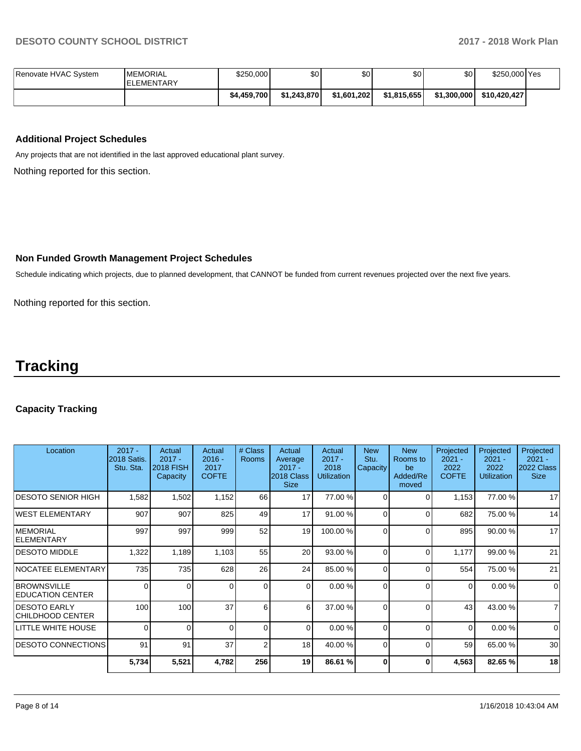| Renovate HVAC System | <b>MEMORIAL</b><br><b>IELEMENTARY</b> | \$250,000   | \$0 <sub>1</sub> | \$0         | \$0         | \$0         | \$250,000 Yes |  |
|----------------------|---------------------------------------|-------------|------------------|-------------|-------------|-------------|---------------|--|
|                      |                                       | \$4,459,700 | \$1.243.870      | \$1.601.202 | \$1,815,655 | \$1,300,000 | \$10.420.427  |  |

## **Additional Project Schedules**

Any projects that are not identified in the last approved educational plant survey.

Nothing reported for this section.

### **Non Funded Growth Management Project Schedules**

Schedule indicating which projects, due to planned development, that CANNOT be funded from current revenues projected over the next five years.

Nothing reported for this section.

# **Tracking**

## **Capacity Tracking**

| Location                                       | $2017 -$<br>2018 Satis.<br>Stu. Sta. | Actual<br>$2017 -$<br><b>2018 FISH</b><br>Capacity | Actual<br>$2016 -$<br>2017<br><b>COFTE</b> | # Class<br><b>Rooms</b> | Actual<br>Average<br>$2017 -$<br>2018 Class<br><b>Size</b> | Actual<br>$2017 -$<br>2018<br><b>Utilization</b> | <b>New</b><br>Stu.<br>Capacity | <b>New</b><br>Rooms to<br>be<br>Added/Re<br>moved | Projected<br>$2021 -$<br>2022<br><b>COFTE</b> | Projected<br>$2021 -$<br>2022<br><b>Utilization</b> | Projected<br>$2021 -$<br>2022 Class<br><b>Size</b> |
|------------------------------------------------|--------------------------------------|----------------------------------------------------|--------------------------------------------|-------------------------|------------------------------------------------------------|--------------------------------------------------|--------------------------------|---------------------------------------------------|-----------------------------------------------|-----------------------------------------------------|----------------------------------------------------|
| <b>IDESOTO SENIOR HIGH</b>                     | 1,582                                | 1,502                                              | 1,152                                      | 66                      | 17                                                         | 77.00 %                                          | $\Omega$                       | 0                                                 | 1,153                                         | 77.00 %                                             | 17                                                 |
| WEST ELEMENTARY                                | 907                                  | 907                                                | 825                                        | 49                      | 17                                                         | 91.00 %                                          | $\Omega$                       | $\Omega$                                          | 682                                           | 75.00 %                                             | 14                                                 |
| <b>IMEMORIAL</b><br>ELEMENTARY                 | 997                                  | 997                                                | 999                                        | 52                      | 19                                                         | 100.00 %                                         | $\Omega$                       | 0                                                 | 895                                           | 90.00 %                                             | 17                                                 |
| <b>DESOTO MIDDLE</b>                           | 1,322                                | 1,189                                              | 1,103                                      | 55                      | 20                                                         | 93.00 %                                          | $\Omega$                       | $\Omega$                                          | 1,177                                         | 99.00 %                                             | 21                                                 |
| NOCATEE ELEMENTARY                             | 735                                  | 735                                                | 628                                        | 26                      | 24                                                         | 85.00 %                                          | $\Omega$                       | $\Omega$                                          | 554                                           | 75.00 %                                             | 21                                                 |
| <b>BROWNSVILLE</b><br><b>EDUCATION CENTER</b>  | 0                                    | $\Omega$                                           | 0                                          | $\Omega$                | $\overline{0}$                                             | 0.00 %                                           | $\Omega$                       | $\Omega$                                          | $\Omega$                                      | 0.00%                                               | $\overline{0}$                                     |
| <b>DESOTO EARLY</b><br><b>CHILDHOOD CENTER</b> | 100                                  | 100                                                | 37                                         | 6                       | 6                                                          | 37.00 %                                          | $\Omega$                       | $\Omega$                                          | 43                                            | 43.00 %                                             | $\overline{7}$                                     |
| LITTLE WHITE HOUSE                             | 0                                    | $\Omega$                                           | $\Omega$                                   | $\Omega$                | $\overline{0}$                                             | 0.00%                                            | $\Omega$                       | $\Omega$                                          | $\Omega$                                      | 0.00%                                               | $\overline{0}$                                     |
| <b>IDESOTO CONNECTIONS</b>                     | 91                                   | 91                                                 | 37                                         | $\overline{2}$          | 18                                                         | 40.00 %                                          | $\Omega$                       | 0                                                 | 59                                            | 65.00 %                                             | 30                                                 |
|                                                | 5,734                                | 5,521                                              | 4,782                                      | 256                     | 19                                                         | 86.61 %                                          | O                              | $\bf{0}$                                          | 4,563                                         | 82.65 %                                             | 18                                                 |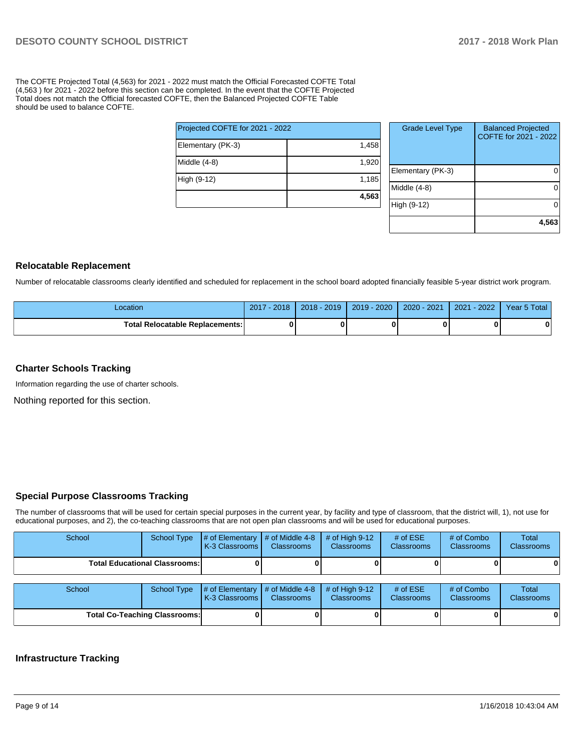The COFTE Projected Total (4,563) for 2021 - 2022 must match the Official Forecasted COFTE Total (4,563 ) for 2021 - 2022 before this section can be completed. In the event that the COFTE Projected Total does not match the Official forecasted COFTE, then the Balanced Projected COFTE Table should be used to balance COFTE.

| Projected COFTE for 2021 - 2022 |       |  |  |  |  |  |  |
|---------------------------------|-------|--|--|--|--|--|--|
| Elementary (PK-3)               | 1,458 |  |  |  |  |  |  |
| Middle (4-8)                    | 1,920 |  |  |  |  |  |  |
| High (9-12)                     | 1,185 |  |  |  |  |  |  |
|                                 | 4,563 |  |  |  |  |  |  |

| <b>Grade Level Type</b> | <b>Balanced Projected</b><br>COFTE for 2021 - 2022 |
|-------------------------|----------------------------------------------------|
| Elementary (PK-3)       |                                                    |
| Middle $(4-8)$          |                                                    |
| High (9-12)             |                                                    |
|                         | 4,563                                              |

### **Relocatable Replacement**

Number of relocatable classrooms clearly identified and scheduled for replacement in the school board adopted financially feasible 5-year district work program.

| Location                               | 2018<br>2017 | $2018 - 2019$ | 2019 - 2020 | 2020 - 2021 | $-2022'$<br>2021 | Year 5 Total |
|----------------------------------------|--------------|---------------|-------------|-------------|------------------|--------------|
| <b>Total Relocatable Replacements:</b> | O            |               |             |             |                  |              |

### **Charter Schools Tracking**

Information regarding the use of charter schools.

Nothing reported for this section.

## **Special Purpose Classrooms Tracking**

The number of classrooms that will be used for certain special purposes in the current year, by facility and type of classroom, that the district will, 1), not use for educational purposes, and 2), the co-teaching classrooms that are not open plan classrooms and will be used for educational purposes.

| School                               | School Type | $\#$ of Elementary $\#$ of Middle 4-8<br><b>K-3 Classrooms L</b> | <b>Classrooms</b> | $\#$ of High 9-12<br><b>Classrooms</b> | # of $ESE$<br><b>Classrooms</b> | # of Combo<br><b>Classrooms</b> | Total<br><b>Classrooms</b> |
|--------------------------------------|-------------|------------------------------------------------------------------|-------------------|----------------------------------------|---------------------------------|---------------------------------|----------------------------|
| <b>Total Educational Classrooms:</b> |             |                                                                  |                   |                                        |                                 |                                 | 0                          |
|                                      |             |                                                                  |                   |                                        |                                 |                                 |                            |
| School                               | School Type | $\#$ of Elementary $\#$ of Middle 4-8 $\#$ of High 9-12          |                   |                                        | # of $ESE$                      | # of Combo                      | Total                      |

| School                               | School Type | $\sharp$ of Elementary $\sharp$ of Middle 4-8 $\sharp$ of High 9-12<br><b>IK-3 Classrooms L</b> | <b>Classrooms</b> | <b>Classrooms</b> | # of $ESE$<br><b>Classrooms</b> | # of Combo<br>Classrooms | <b>Total</b><br><b>Classrooms</b> |
|--------------------------------------|-------------|-------------------------------------------------------------------------------------------------|-------------------|-------------------|---------------------------------|--------------------------|-----------------------------------|
| <b>Total Co-Teaching Classrooms:</b> |             |                                                                                                 |                   |                   |                                 |                          | 0                                 |

#### **Infrastructure Tracking**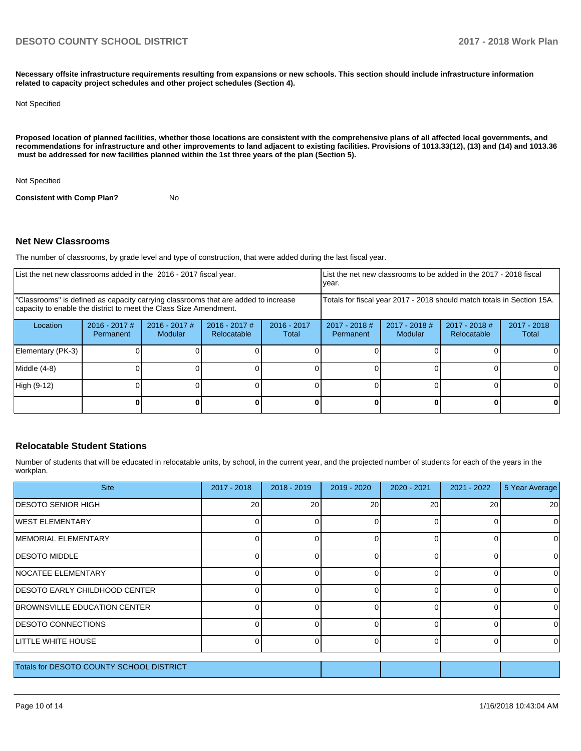**Necessary offsite infrastructure requirements resulting from expansions or new schools. This section should include infrastructure information related to capacity project schedules and other project schedules (Section 4).** 

#### Not Specified

**Proposed location of planned facilities, whether those locations are consistent with the comprehensive plans of all affected local governments, and recommendations for infrastructure and other improvements to land adjacent to existing facilities. Provisions of 1013.33(12), (13) and (14) and 1013.36** must be addressed for new facilities planned within the 1st three years of the plan (Section 5).

Not Specified

**Consistent with Comp Plan?** No

#### **Net New Classrooms**

The number of classrooms, by grade level and type of construction, that were added during the last fiscal year.

| List the net new classrooms added in the 2016 - 2017 fiscal year.                                                                                       |                              |                                   |                                |                                                                        | List the net new classrooms to be added in the 2017 - 2018 fiscal<br>year. |                            |                                     |                        |
|---------------------------------------------------------------------------------------------------------------------------------------------------------|------------------------------|-----------------------------------|--------------------------------|------------------------------------------------------------------------|----------------------------------------------------------------------------|----------------------------|-------------------------------------|------------------------|
| "Classrooms" is defined as capacity carrying classrooms that are added to increase<br>capacity to enable the district to meet the Class Size Amendment. |                              |                                   |                                | Totals for fiscal year 2017 - 2018 should match totals in Section 15A. |                                                                            |                            |                                     |                        |
| Location                                                                                                                                                | $2016 - 2017$ #<br>Permanent | $2016 - 2017$ #<br><b>Modular</b> | $2016 - 2017$ #<br>Relocatable | $2016 - 2017$<br>Total                                                 | $2017 - 2018$ #<br>Permanent                                               | $2017 - 2018$ #<br>Modular | 2017 - 2018 #<br><b>Relocatable</b> | $2017 - 2018$<br>Total |
| Elementary (PK-3)                                                                                                                                       |                              |                                   |                                |                                                                        |                                                                            |                            |                                     |                        |
| Middle (4-8)                                                                                                                                            |                              |                                   |                                |                                                                        |                                                                            |                            |                                     |                        |
| High (9-12)                                                                                                                                             |                              |                                   |                                |                                                                        |                                                                            |                            |                                     |                        |
|                                                                                                                                                         |                              |                                   |                                |                                                                        |                                                                            |                            |                                     |                        |

### **Relocatable Student Stations**

Number of students that will be educated in relocatable units, by school, in the current year, and the projected number of students for each of the years in the workplan.

| <b>Site</b>                              | $2017 - 2018$ | $2018 - 2019$ | 2019 - 2020 | 2020 - 2021 | 2021 - 2022 | 5 Year Average  |
|------------------------------------------|---------------|---------------|-------------|-------------|-------------|-----------------|
| IDESOTO SENIOR HIGH                      | 20            | 20            | 20          | 20          | 20          | 20 <sub>1</sub> |
| <b>IWEST ELEMENTARY</b>                  |               |               | 0           |             | 0           | 0               |
| <b>IMEMORIAL ELEMENTARY</b>              |               |               | 0           | ∩           | 0           | $\Omega$        |
| <b>DESOTO MIDDLE</b>                     |               |               | $\Omega$    | ∩           | 0           | 0               |
| NOCATEE ELEMENTARY                       |               |               | $\Omega$    |             | 0           | 0               |
| <b>IDESOTO EARLY CHILDHOOD CENTER</b>    |               |               | 0           |             | 0           | 0               |
| BROWNSVILLE EDUCATION CENTER             |               |               | $\Omega$    | ∩           | 0           | $\Omega$        |
| <b>IDESOTO CONNECTIONS</b>               |               |               | $\Omega$    | ſ           | 0           | $\Omega$        |
| LITTLE WHITE HOUSE                       |               |               | $\Omega$    |             | 0           | $\Omega$        |
| Totals for DESOTO COUNTY SCHOOL DISTRICT |               |               |             |             |             |                 |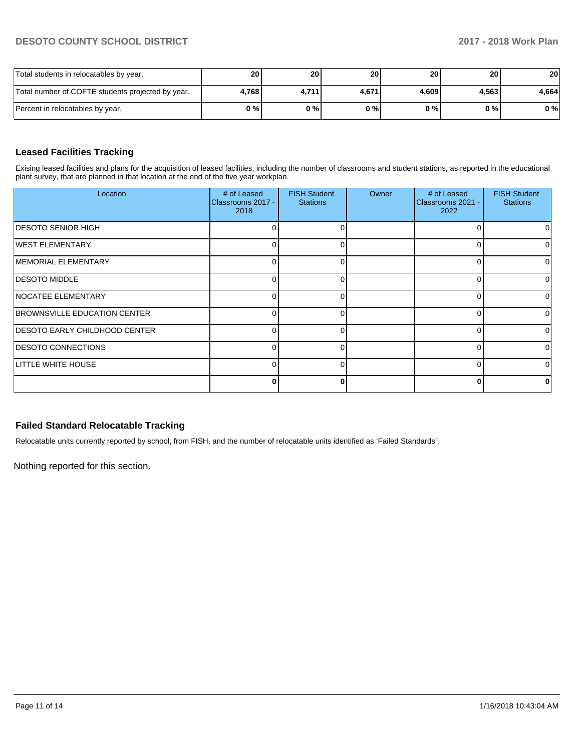## **DESOTO COUNTY SCHOOL DISTRICT 2017 - 2018 Work Plan**

| Total students in relocatables by year.           | <b>20</b> | 20 I    | 20 <sub>1</sub> | 20 <sub>l</sub> | 20 <sub>l</sub> | 20    |
|---------------------------------------------------|-----------|---------|-----------------|-----------------|-----------------|-------|
| Total number of COFTE students projected by year. | 4.768     | 4.711 l | 4.671           | 4.609           | 4.563           | 4.664 |
| Percent in relocatables by year.                  | 0 % I     | 0%      | 0%              | 0 % I           | 0 % I           | 0%    |

# **Leased Facilities Tracking**

Exising leased facilities and plans for the acquisition of leased facilities, including the number of classrooms and student stations, as reported in the educational plant survey, that are planned in that location at the end of the five year workplan.

| Location                             | # of Leased<br>Classrooms 2017 -<br>2018 | <b>FISH Student</b><br><b>Stations</b> | Owner | # of Leased<br>Classrooms 2021 -<br>2022 | <b>FISH Student</b><br><b>Stations</b> |
|--------------------------------------|------------------------------------------|----------------------------------------|-------|------------------------------------------|----------------------------------------|
| <b>DESOTO SENIOR HIGH</b>            |                                          | 0                                      |       | ∩                                        | 0                                      |
| WEST ELEMENTARY                      |                                          | O                                      |       | 0                                        | 0                                      |
| MEMORIAL ELEMENTARY                  |                                          |                                        |       | 0                                        | 0                                      |
| <b>DESOTO MIDDLE</b>                 |                                          |                                        |       | 0                                        | 0                                      |
| NOCATEE ELEMENTARY                   | C                                        | 0                                      |       | 0                                        | 0                                      |
| BROWNSVILLE EDUCATION CENTER         | C                                        | 0                                      |       | 0                                        | 0                                      |
| <b>DESOTO EARLY CHILDHOOD CENTER</b> |                                          | $\Omega$                               |       | ŋ                                        | $\Omega$                               |
| <b>DESOTO CONNECTIONS</b>            |                                          | ∩                                      |       | 0                                        | $\Omega$                               |
| <b>LITTLE WHITE HOUSE</b>            |                                          | ∩                                      |       | C                                        | 0                                      |
|                                      | O                                        | ŋ                                      |       | 0                                        | $\bf{0}$                               |

### **Failed Standard Relocatable Tracking**

Relocatable units currently reported by school, from FISH, and the number of relocatable units identified as 'Failed Standards'.

Nothing reported for this section.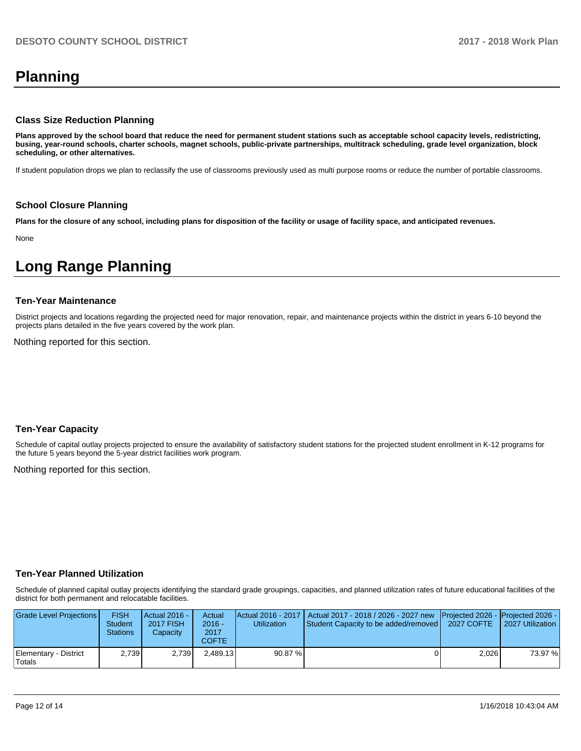# **Planning**

### **Class Size Reduction Planning**

**Plans approved by the school board that reduce the need for permanent student stations such as acceptable school capacity levels, redistricting, busing, year-round schools, charter schools, magnet schools, public-private partnerships, multitrack scheduling, grade level organization, block scheduling, or other alternatives.**

If student population drops we plan to reclassify the use of classrooms previously used as multi purpose rooms or reduce the number of portable classrooms.

#### **School Closure Planning**

**Plans for the closure of any school, including plans for disposition of the facility or usage of facility space, and anticipated revenues.** 

None

# **Long Range Planning**

#### **Ten-Year Maintenance**

District projects and locations regarding the projected need for major renovation, repair, and maintenance projects within the district in years 6-10 beyond the projects plans detailed in the five years covered by the work plan.

Nothing reported for this section.

### **Ten-Year Capacity**

Schedule of capital outlay projects projected to ensure the availability of satisfactory student stations for the projected student enrollment in K-12 programs for the future 5 years beyond the 5-year district facilities work program.

Nothing reported for this section.

### **Ten-Year Planned Utilization**

Schedule of planned capital outlay projects identifying the standard grade groupings, capacities, and planned utilization rates of future educational facilities of the district for both permanent and relocatable facilities.

| Grade Level Projections         | <b>FISH</b><br><b>Student</b><br><b>Stations</b> | Actual 2016 -<br><b>2017 FISH</b><br>Capacity | Actual<br>$2016 -$<br>2017<br>COFTE | Utilization | Actual 2016 - 2017   Actual 2017 - 2018 / 2026 - 2027 new   Projected 2026 -   Projected 2026 -<br>Student Capacity to be added/removed | 2027 COFTE | 2027 Utilization |
|---------------------------------|--------------------------------------------------|-----------------------------------------------|-------------------------------------|-------------|-----------------------------------------------------------------------------------------------------------------------------------------|------------|------------------|
| Elementary - District<br>Totals | 2.739                                            | 2.739                                         | 2.489.13                            | 90.87 %     |                                                                                                                                         | 2.026      | 73.97 %          |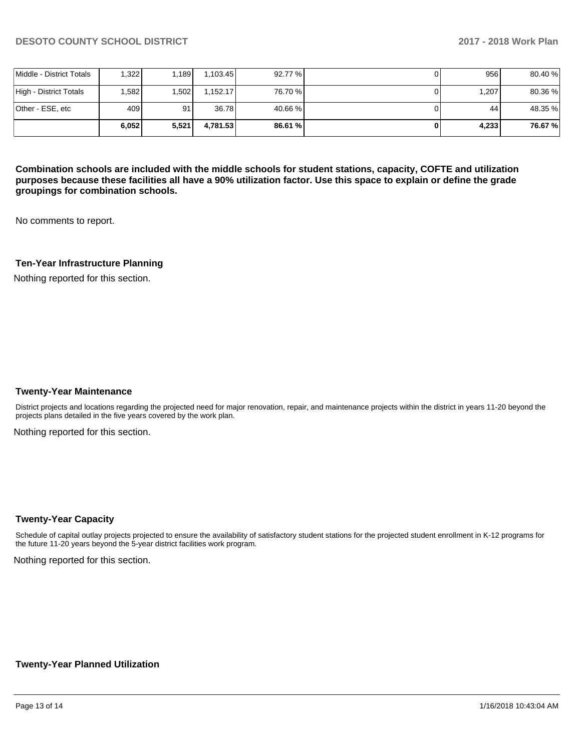|                          | 6.052 | 5,521 | 4.781.53 | 86.61 % | 4.233 | 76.67%  |
|--------------------------|-------|-------|----------|---------|-------|---------|
| Other - ESE, etc         | 409   | 91    | 36.78    | 40.66 % | 44    | 48.35 % |
| High - District Totals   | .582  | .502  | 1.152.17 | 76.70 % | 1,207 | 80.36%  |
| Middle - District Totals | .322  | .189  | 1.103.45 | 92.77 % | 956   | 80.40 % |

**Combination schools are included with the middle schools for student stations, capacity, COFTE and utilization purposes because these facilities all have a 90% utilization factor. Use this space to explain or define the grade groupings for combination schools.** 

No comments to report.

### **Ten-Year Infrastructure Planning**

Nothing reported for this section.

#### **Twenty-Year Maintenance**

District projects and locations regarding the projected need for major renovation, repair, and maintenance projects within the district in years 11-20 beyond the projects plans detailed in the five years covered by the work plan.

Nothing reported for this section.

### **Twenty-Year Capacity**

Schedule of capital outlay projects projected to ensure the availability of satisfactory student stations for the projected student enrollment in K-12 programs for the future 11-20 years beyond the 5-year district facilities work program.

Nothing reported for this section.

#### **Twenty-Year Planned Utilization**